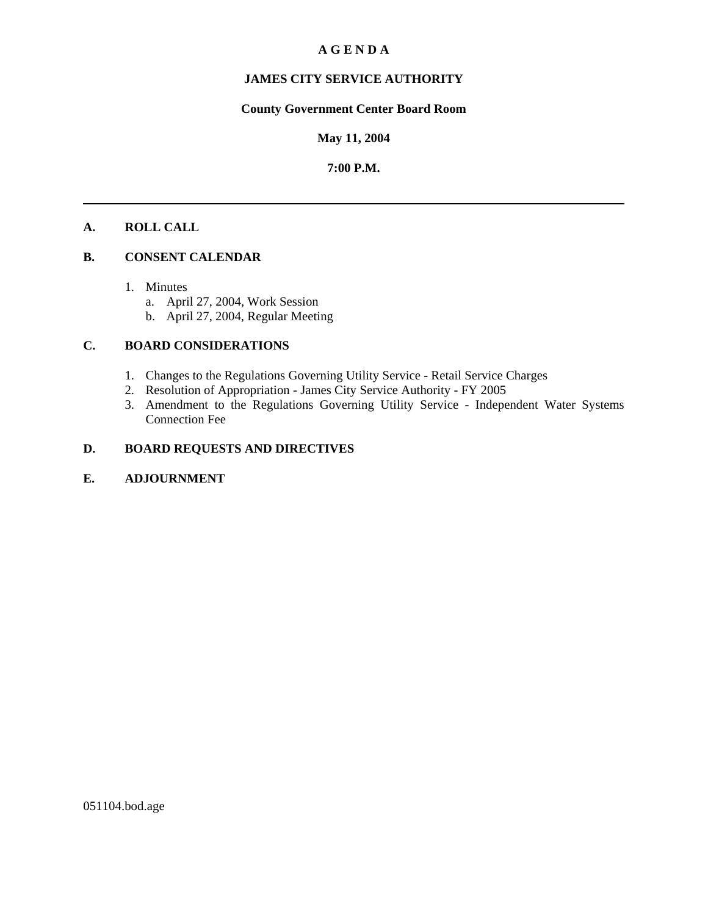#### **A G E N D A**

### **JAMES CITY SERVICE AUTHORITY**

### **County Government Center Board Room**

#### **May 11, 2004**

#### **7:00 P.M.**

#### **A. ROLL CALL**

#### **B. CONSENT CALENDAR**

- 1. Minutes
	- a. April 27, 2004, Work Session
	- b. April 27, 2004, Regular Meeting

#### **C. BOARD CONSIDERATIONS**

- 1. Changes to the Regulations Governing Utility Service Retail Service Charges
- 2. Resolution of Appropriation James City Service Authority FY 2005
- 3. Amendment to the Regulations Governing Utility Service Independent Water Systems Connection Fee

#### **D. BOARD REQUESTS AND DIRECTIVES**

#### **E. ADJOURNMENT**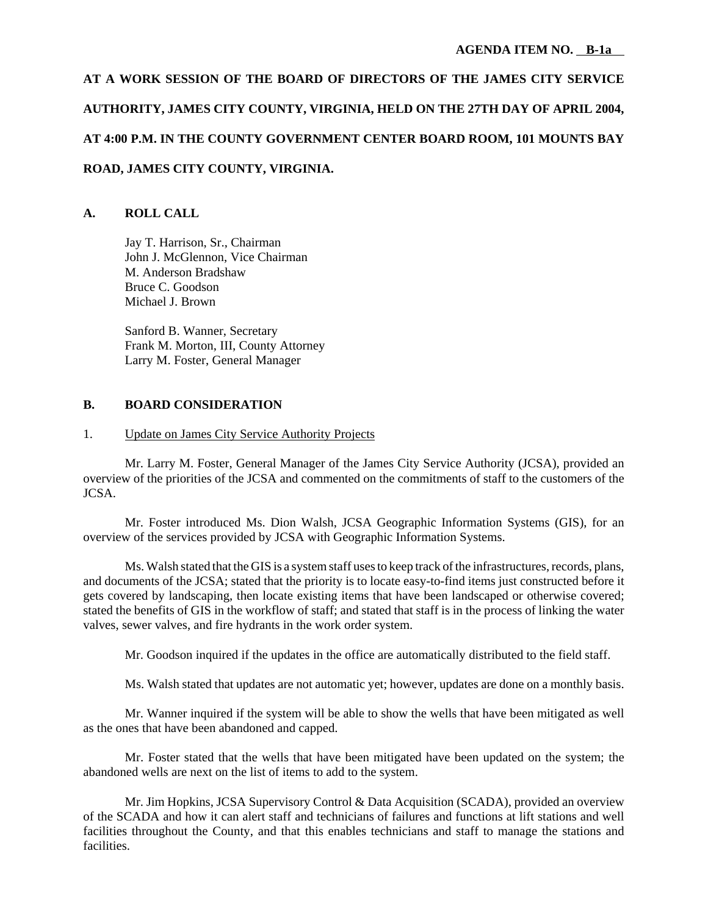**AT A WORK SESSION OF THE BOARD OF DIRECTORS OF THE JAMES CITY SERVICE AUTHORITY, JAMES CITY COUNTY, VIRGINIA, HELD ON THE 27TH DAY OF APRIL 2004, AT 4:00 P.M. IN THE COUNTY GOVERNMENT CENTER BOARD ROOM, 101 MOUNTS BAY ROAD, JAMES CITY COUNTY, VIRGINIA.**

#### **A. ROLL CALL**

Jay T. Harrison, Sr., Chairman John J. McGlennon, Vice Chairman M. Anderson Bradshaw Bruce C. Goodson Michael J. Brown

Sanford B. Wanner, Secretary Frank M. Morton, III, County Attorney Larry M. Foster, General Manager

#### **B. BOARD CONSIDERATION**

#### 1. Update on James City Service Authority Projects

Mr. Larry M. Foster, General Manager of the James City Service Authority (JCSA), provided an overview of the priorities of the JCSA and commented on the commitments of staff to the customers of the JCSA.

Mr. Foster introduced Ms. Dion Walsh, JCSA Geographic Information Systems (GIS), for an overview of the services provided by JCSA with Geographic Information Systems.

Ms. Walsh stated that the GIS is a system staff uses to keep track of the infrastructures, records, plans, and documents of the JCSA; stated that the priority is to locate easy-to-find items just constructed before it gets covered by landscaping, then locate existing items that have been landscaped or otherwise covered; stated the benefits of GIS in the workflow of staff; and stated that staff is in the process of linking the water valves, sewer valves, and fire hydrants in the work order system.

Mr. Goodson inquired if the updates in the office are automatically distributed to the field staff.

Ms. Walsh stated that updates are not automatic yet; however, updates are done on a monthly basis.

Mr. Wanner inquired if the system will be able to show the wells that have been mitigated as well as the ones that have been abandoned and capped.

Mr. Foster stated that the wells that have been mitigated have been updated on the system; the abandoned wells are next on the list of items to add to the system.

Mr. Jim Hopkins, JCSA Supervisory Control & Data Acquisition (SCADA), provided an overview of the SCADA and how it can alert staff and technicians of failures and functions at lift stations and well facilities throughout the County, and that this enables technicians and staff to manage the stations and facilities.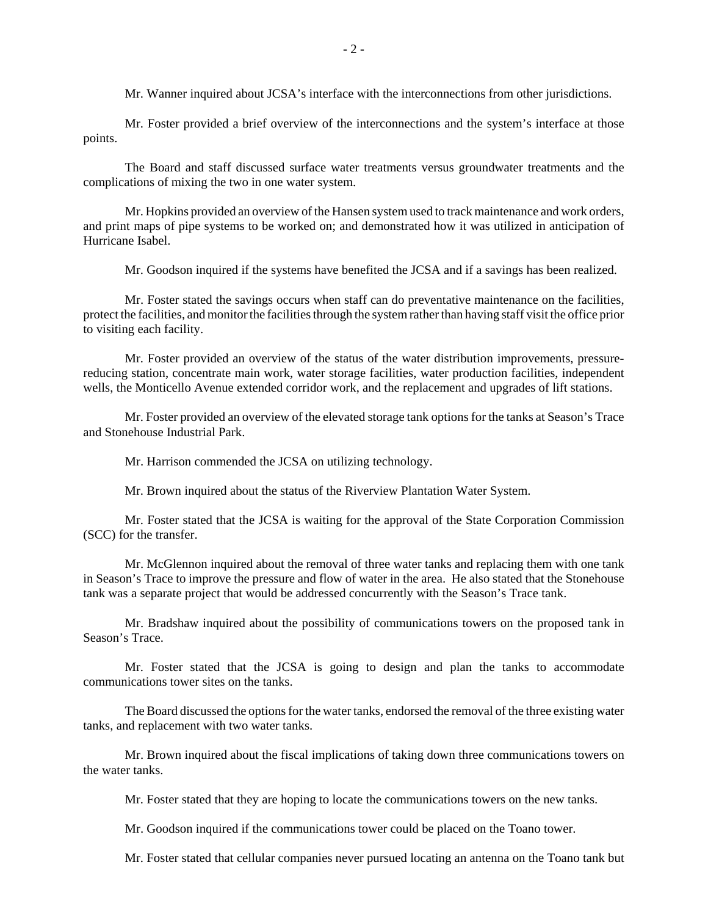Mr. Wanner inquired about JCSA's interface with the interconnections from other jurisdictions.

Mr. Foster provided a brief overview of the interconnections and the system's interface at those points.

The Board and staff discussed surface water treatments versus groundwater treatments and the complications of mixing the two in one water system.

Mr. Hopkins provided an overview of the Hansen system used to track maintenance and work orders, and print maps of pipe systems to be worked on; and demonstrated how it was utilized in anticipation of Hurricane Isabel.

Mr. Goodson inquired if the systems have benefited the JCSA and if a savings has been realized.

Mr. Foster stated the savings occurs when staff can do preventative maintenance on the facilities, protect the facilities, and monitor the facilities through the system rather than having staff visit the office prior to visiting each facility.

Mr. Foster provided an overview of the status of the water distribution improvements, pressurereducing station, concentrate main work, water storage facilities, water production facilities, independent wells, the Monticello Avenue extended corridor work, and the replacement and upgrades of lift stations.

Mr. Foster provided an overview of the elevated storage tank options for the tanks at Season's Trace and Stonehouse Industrial Park.

Mr. Harrison commended the JCSA on utilizing technology.

Mr. Brown inquired about the status of the Riverview Plantation Water System.

Mr. Foster stated that the JCSA is waiting for the approval of the State Corporation Commission (SCC) for the transfer.

Mr. McGlennon inquired about the removal of three water tanks and replacing them with one tank in Season's Trace to improve the pressure and flow of water in the area. He also stated that the Stonehouse tank was a separate project that would be addressed concurrently with the Season's Trace tank.

Mr. Bradshaw inquired about the possibility of communications towers on the proposed tank in Season's Trace.

Mr. Foster stated that the JCSA is going to design and plan the tanks to accommodate communications tower sites on the tanks.

The Board discussed the options for the water tanks, endorsed the removal of the three existing water tanks, and replacement with two water tanks.

Mr. Brown inquired about the fiscal implications of taking down three communications towers on the water tanks.

Mr. Foster stated that they are hoping to locate the communications towers on the new tanks.

Mr. Goodson inquired if the communications tower could be placed on the Toano tower.

Mr. Foster stated that cellular companies never pursued locating an antenna on the Toano tank but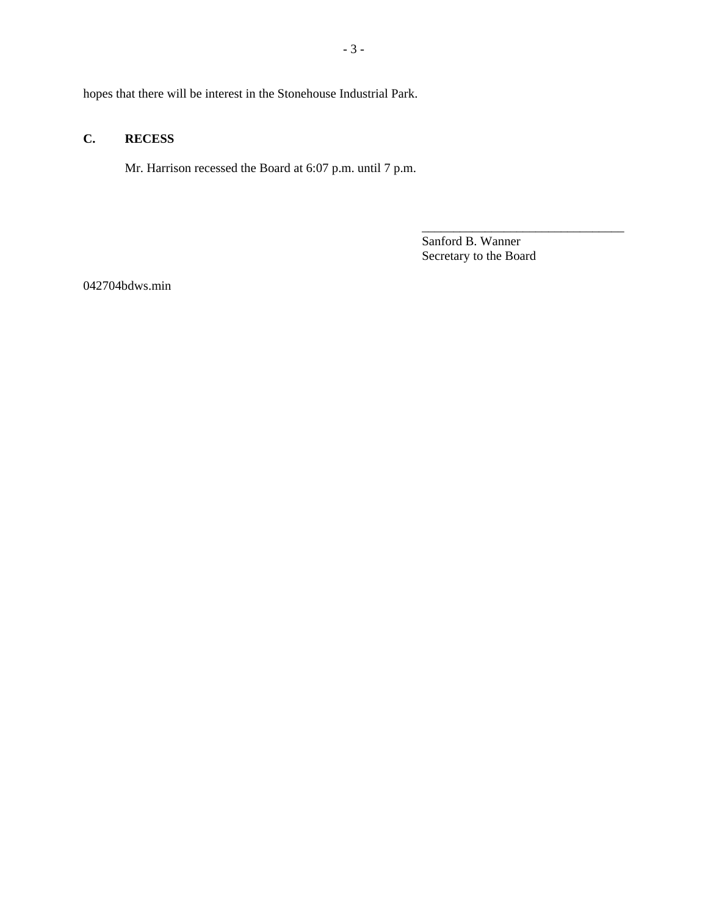hopes that there will be interest in the Stonehouse Industrial Park.

#### **C. RECESS**

Mr. Harrison recessed the Board at 6:07 p.m. until 7 p.m.

Sanford B. Wanner Secretary to the Board

\_\_\_\_\_\_\_\_\_\_\_\_\_\_\_\_\_\_\_\_\_\_\_\_\_\_\_\_\_\_\_\_

042704bdws.min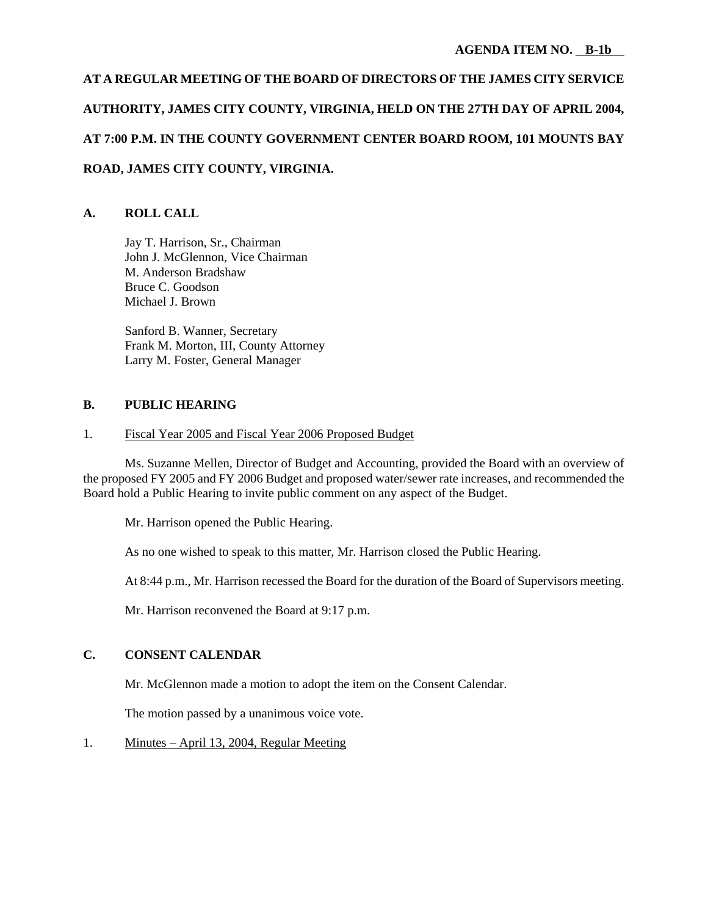# **AT A REGULAR MEETING OF THE BOARD OF DIRECTORS OF THE JAMES CITY SERVICE AUTHORITY, JAMES CITY COUNTY, VIRGINIA, HELD ON THE 27TH DAY OF APRIL 2004, AT 7:00 P.M. IN THE COUNTY GOVERNMENT CENTER BOARD ROOM, 101 MOUNTS BAY ROAD, JAMES CITY COUNTY, VIRGINIA.**

#### **A. ROLL CALL**

Jay T. Harrison, Sr., Chairman John J. McGlennon, Vice Chairman M. Anderson Bradshaw Bruce C. Goodson Michael J. Brown

Sanford B. Wanner, Secretary Frank M. Morton, III, County Attorney Larry M. Foster, General Manager

#### **B. PUBLIC HEARING**

#### 1. Fiscal Year 2005 and Fiscal Year 2006 Proposed Budget

Ms. Suzanne Mellen, Director of Budget and Accounting, provided the Board with an overview of the proposed FY 2005 and FY 2006 Budget and proposed water/sewer rate increases, and recommended the Board hold a Public Hearing to invite public comment on any aspect of the Budget.

Mr. Harrison opened the Public Hearing.

As no one wished to speak to this matter, Mr. Harrison closed the Public Hearing.

At 8:44 p.m., Mr. Harrison recessed the Board for the duration of the Board of Supervisors meeting.

Mr. Harrison reconvened the Board at 9:17 p.m.

# **C. CONSENT CALENDAR**

Mr. McGlennon made a motion to adopt the item on the Consent Calendar.

The motion passed by a unanimous voice vote.

1. Minutes – April 13, 2004, Regular Meeting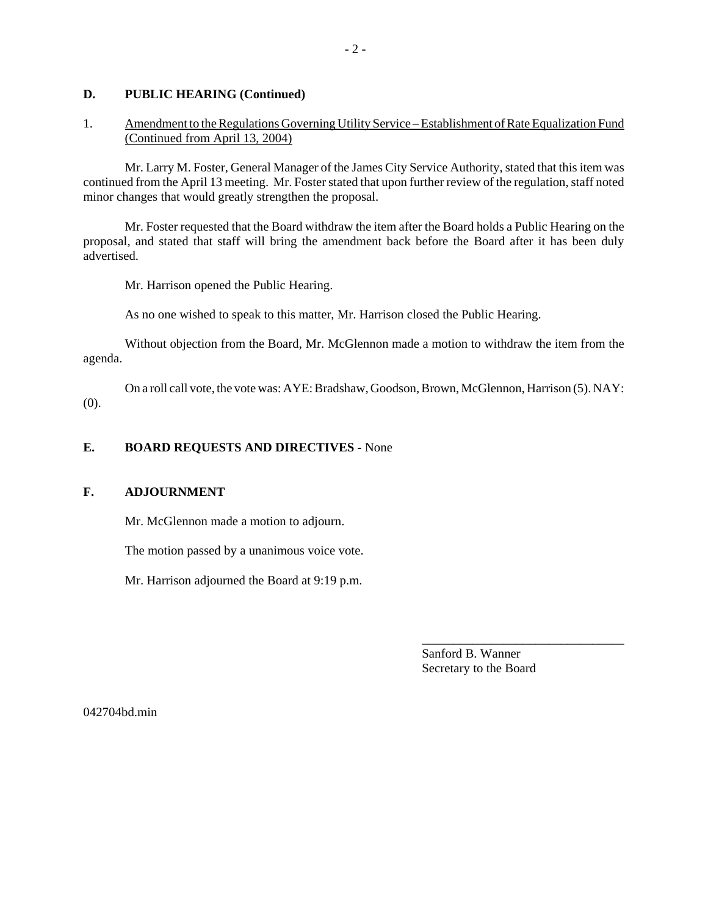#### **D. PUBLIC HEARING (Continued)**

#### 1. Amendment to the Regulations Governing Utility Service – Establishment of Rate Equalization Fund (Continued from April 13, 2004)

Mr. Larry M. Foster, General Manager of the James City Service Authority, stated that this item was continued from the April 13 meeting. Mr. Foster stated that upon further review of the regulation, staff noted minor changes that would greatly strengthen the proposal.

Mr. Foster requested that the Board withdraw the item after the Board holds a Public Hearing on the proposal, and stated that staff will bring the amendment back before the Board after it has been duly advertised.

Mr. Harrison opened the Public Hearing.

As no one wished to speak to this matter, Mr. Harrison closed the Public Hearing.

Without objection from the Board, Mr. McGlennon made a motion to withdraw the item from the agenda.

On a roll call vote, the vote was: AYE: Bradshaw, Goodson, Brown, McGlennon, Harrison (5). NAY: (0).

#### **E. BOARD REQUESTS AND DIRECTIVES -** None

#### **F. ADJOURNMENT**

Mr. McGlennon made a motion to adjourn.

The motion passed by a unanimous voice vote.

Mr. Harrison adjourned the Board at 9:19 p.m.

Sanford B. Wanner Secretary to the Board

\_\_\_\_\_\_\_\_\_\_\_\_\_\_\_\_\_\_\_\_\_\_\_\_\_\_\_\_\_\_\_\_

042704bd.min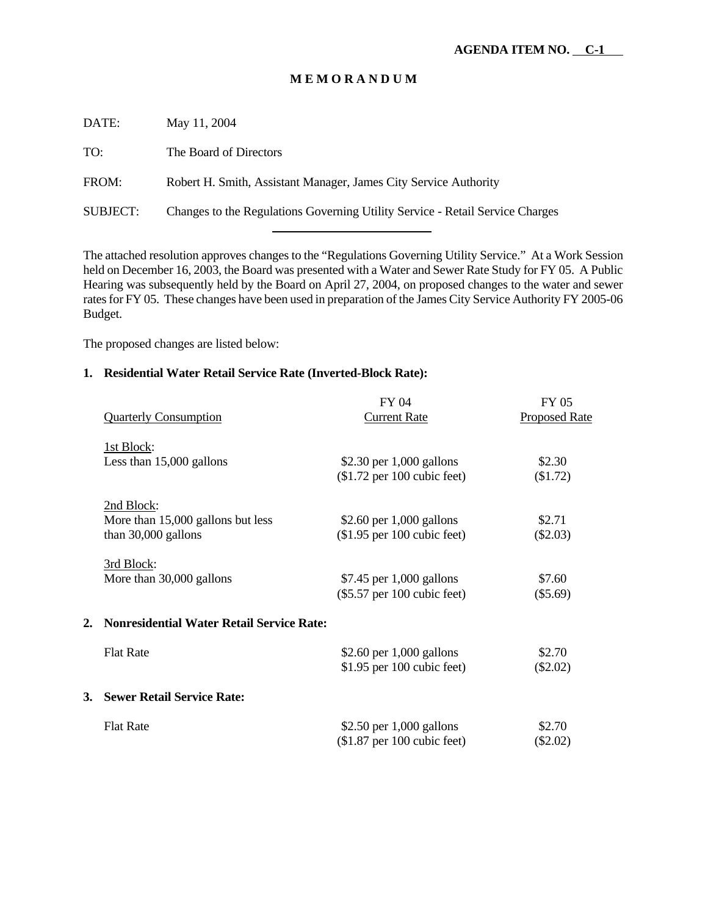#### **M E M O R A N D U M**

| DATE:           | May 11, 2004                                                                  |
|-----------------|-------------------------------------------------------------------------------|
| TO:             | The Board of Directors                                                        |
| FROM:           | Robert H. Smith, Assistant Manager, James City Service Authority              |
| <b>SUBJECT:</b> | Changes to the Regulations Governing Utility Service - Retail Service Charges |
|                 |                                                                               |

The attached resolution approves changes to the "Regulations Governing Utility Service." At a Work Session held on December 16, 2003, the Board was presented with a Water and Sewer Rate Study for FY 05. A Public Hearing was subsequently held by the Board on April 27, 2004, on proposed changes to the water and sewer rates for FY 05. These changes have been used in preparation of the James City Service Authority FY 2005-06 Budget.

The proposed changes are listed below:

#### **1. Residential Water Retail Service Rate (Inverted-Block Rate):**

|    |                                              | FY 04                         | <b>FY 05</b>         |
|----|----------------------------------------------|-------------------------------|----------------------|
|    | <b>Quarterly Consumption</b>                 | <b>Current Rate</b>           | <b>Proposed Rate</b> |
|    | 1st Block:                                   |                               |                      |
|    | Less than 15,000 gallons                     | \$2.30 per $1,000$ gallons    | \$2.30               |
|    |                                              | $$1.72$ per 100 cubic feet)   | \$1.72)              |
|    | 2nd Block:                                   |                               |                      |
|    | More than 15,000 gallons but less            | \$2.60 per $1,000$ gallons    | \$2.71               |
|    | than $30,000$ gallons                        | $($1.95$ per 100 cubic feet)  | $(\$2.03)$           |
|    | 3rd Block:                                   |                               |                      |
|    |                                              |                               | \$7.60               |
|    | More than 30,000 gallons                     | \$7.45 per 1,000 gallons      |                      |
|    |                                              | $(\$5.57$ per 100 cubic feet) | $(\$5.69)$           |
|    | 2. Nonresidential Water Retail Service Rate: |                               |                      |
|    | <b>Flat Rate</b>                             | \$2.60 per $1,000$ gallons    | \$2.70               |
|    |                                              | $$1.95$ per 100 cubic feet)   | $(\$2.02)$           |
| 3. | <b>Sewer Retail Service Rate:</b>            |                               |                      |
|    |                                              |                               |                      |
|    | <b>Flat Rate</b>                             | \$2.50 per $1,000$ gallons    | \$2.70               |
|    |                                              | $\$1.87$ per 100 cubic feet)  | $(\$2.02)$           |
|    |                                              |                               |                      |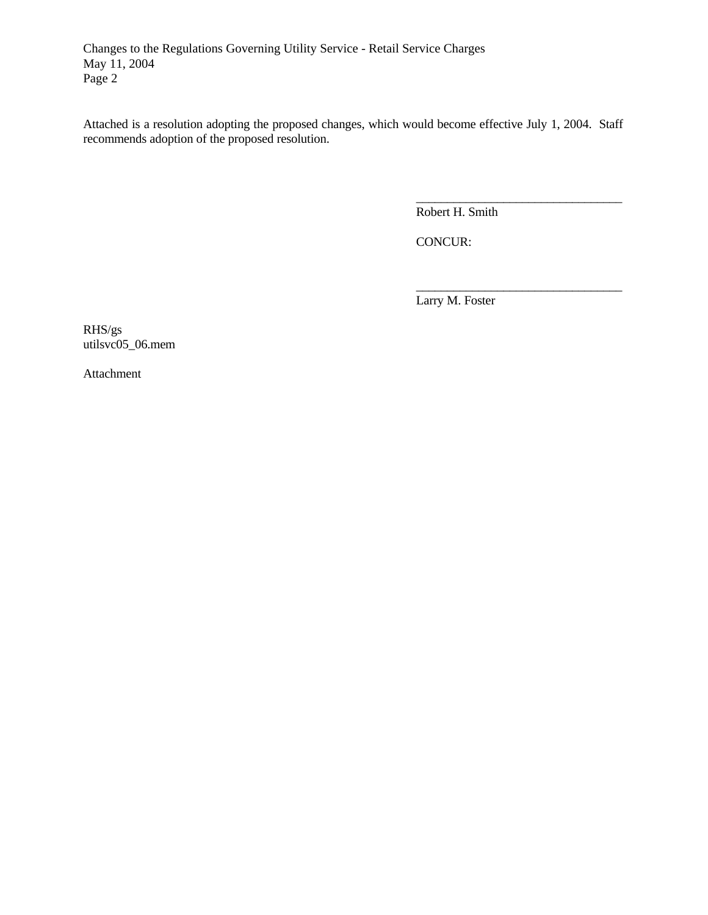Attached is a resolution adopting the proposed changes, which would become effective July 1, 2004. Staff recommends adoption of the proposed resolution.

Robert H. Smith

\_\_\_\_\_\_\_\_\_\_\_\_\_\_\_\_\_\_\_\_\_\_\_\_\_\_\_\_\_\_\_\_\_

\_\_\_\_\_\_\_\_\_\_\_\_\_\_\_\_\_\_\_\_\_\_\_\_\_\_\_\_\_\_\_\_\_

CONCUR:

Larry M. Foster

RHS/gs utilsvc05\_06.mem

Attachment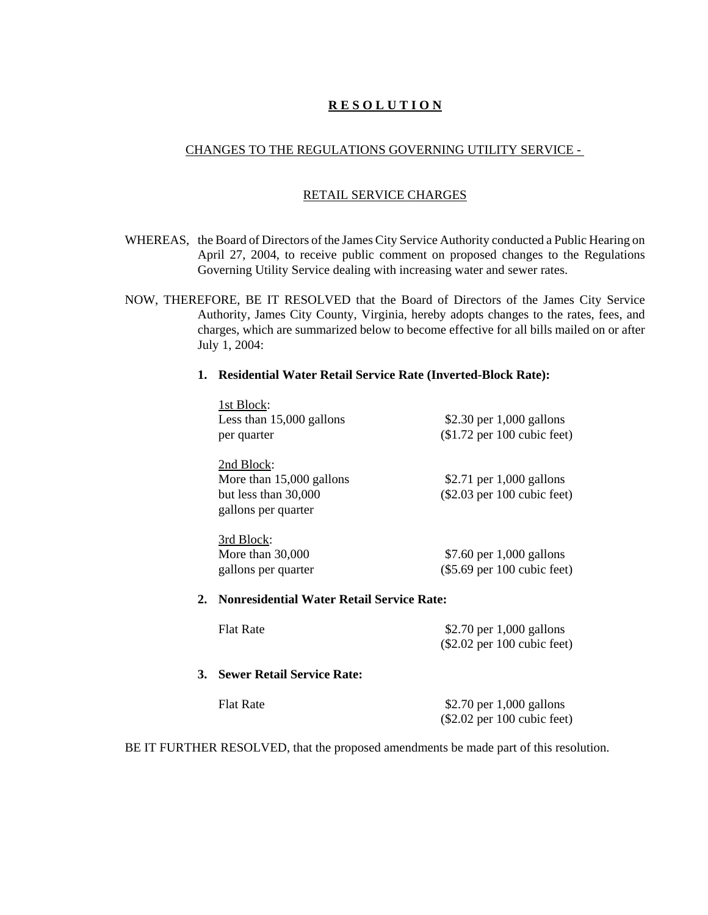# **R E S O L U T I O N**

#### CHANGES TO THE REGULATIONS GOVERNING UTILITY SERVICE -

#### RETAIL SERVICE CHARGES

- WHEREAS, the Board of Directors of the James City Service Authority conducted a Public Hearing on April 27, 2004, to receive public comment on proposed changes to the Regulations Governing Utility Service dealing with increasing water and sewer rates.
- NOW, THEREFORE, BE IT RESOLVED that the Board of Directors of the James City Service Authority, James City County, Virginia, hereby adopts changes to the rates, fees, and charges, which are summarized below to become effective for all bills mailed on or after July 1, 2004:

#### **1. Residential Water Retail Service Rate (Inverted-Block Rate):**

|    | 1st Block:                                       |                               |
|----|--------------------------------------------------|-------------------------------|
|    | Less than 15,000 gallons                         | \$2.30 per $1,000$ gallons    |
|    | per quarter                                      | $($1.72$ per 100 cubic feet)  |
|    | 2nd Block:                                       |                               |
|    | More than $15,000$ gallons                       | \$2.71 per $1,000$ gallons    |
|    | but less than 30,000                             | (\$2.03 per 100 cubic feet)   |
|    | gallons per quarter                              |                               |
|    | 3rd Block:                                       |                               |
|    | More than $30,000$                               | \$7.60 per 1,000 gallons      |
|    | gallons per quarter                              | $(\$5.69$ per 100 cubic feet) |
| 2. | <b>Nonresidential Water Retail Service Rate:</b> |                               |
|    | <b>Flat Rate</b>                                 | \$2.70 per $1,000$ gallons    |
|    |                                                  | $(\$2.02$ per 100 cubic feet) |
| 3. | <b>Sewer Retail Service Rate:</b>                |                               |
|    | <b>Flat Rate</b>                                 | \$2.70 per $1,000$ gallons    |
|    |                                                  | $(\$2.02$ per 100 cubic feet) |

BE IT FURTHER RESOLVED, that the proposed amendments be made part of this resolution.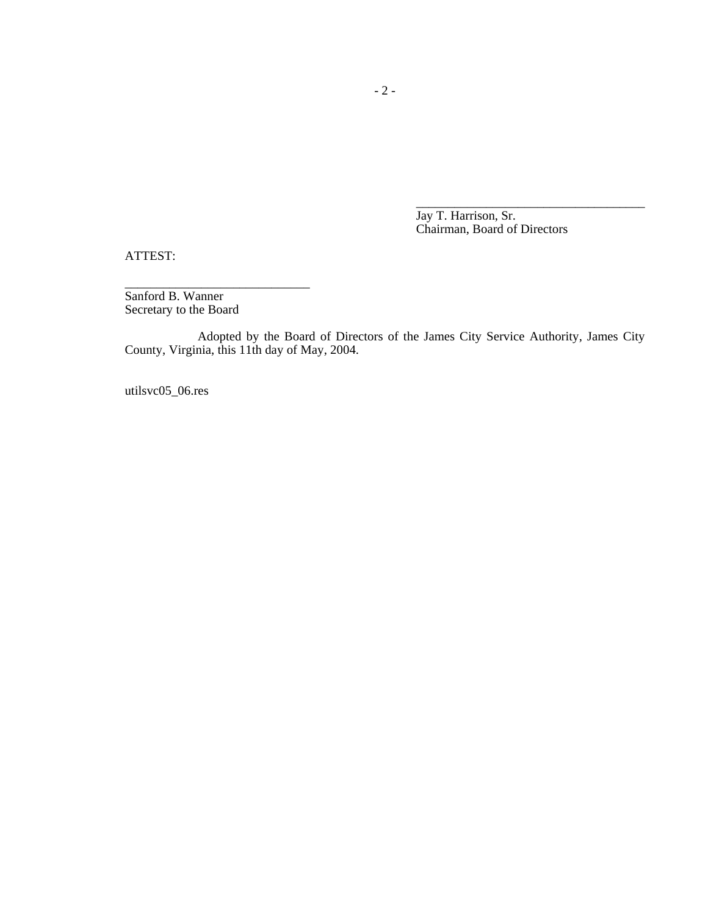Jay T. Harrison, Sr. Chairman, Board of Directors

\_\_\_\_\_\_\_\_\_\_\_\_\_\_\_\_\_\_\_\_\_\_\_\_\_\_\_\_\_\_\_\_\_\_\_\_

ATTEST:

Sanford B. Wanner Secretary to the Board

\_\_\_\_\_\_\_\_\_\_\_\_\_\_\_\_\_\_\_\_\_\_\_\_\_\_\_\_\_

Adopted by the Board of Directors of the James City Service Authority, James City County, Virginia, this 11th day of May, 2004.

utilsvc05\_06.res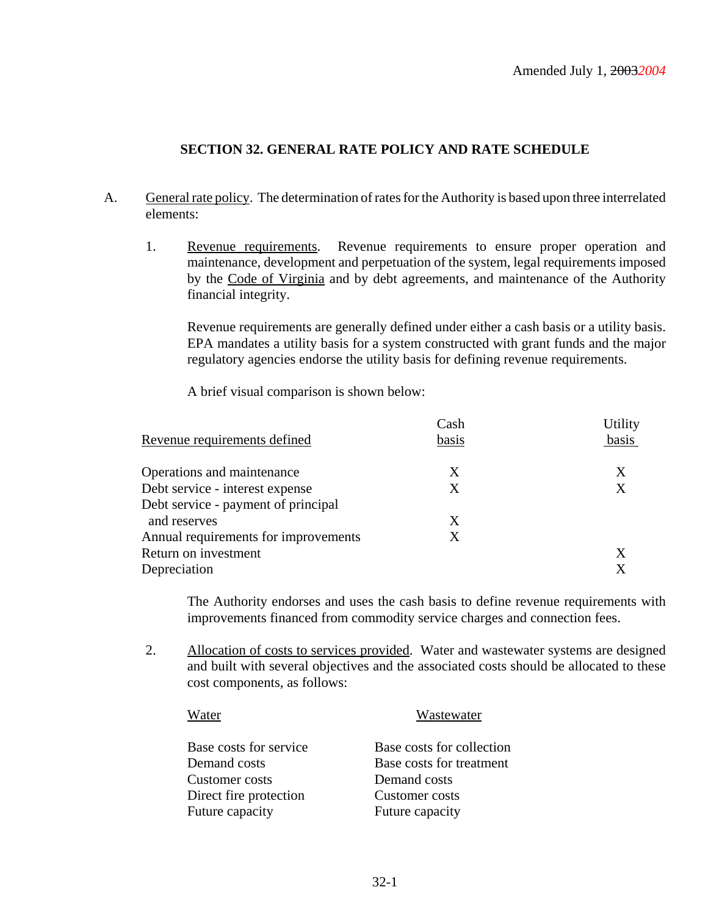# **SECTION 32. GENERAL RATE POLICY AND RATE SCHEDULE**

- A. General rate policy. The determination of rates for the Authority is based upon three interrelated elements:
	- 1. Revenue requirements. Revenue requirements to ensure proper operation and maintenance, development and perpetuation of the system, legal requirements imposed by the Code of Virginia and by debt agreements, and maintenance of the Authority financial integrity.

Revenue requirements are generally defined under either a cash basis or a utility basis. EPA mandates a utility basis for a system constructed with grant funds and the major regulatory agencies endorse the utility basis for defining revenue requirements.

A brief visual comparison is shown below:

|                                      | Cash  | Utility |
|--------------------------------------|-------|---------|
| Revenue requirements defined         | basis | basis   |
| Operations and maintenance           | X     | X       |
| Debt service - interest expense      | Χ     | Χ       |
| Debt service - payment of principal  |       |         |
| and reserves                         | Χ     |         |
| Annual requirements for improvements | X     |         |
| Return on investment                 |       | X       |
| Depreciation                         |       | X       |

The Authority endorses and uses the cash basis to define revenue requirements with improvements financed from commodity service charges and connection fees.

2. Allocation of costs to services provided. Water and wastewater systems are designed and built with several objectives and the associated costs should be allocated to these cost components, as follows:

# Water Wastewater Base costs for service Base costs for collection Demand costs Base costs for treatment Customer costs Demand costs Direct fire protection Customer costs Future capacity Future capacity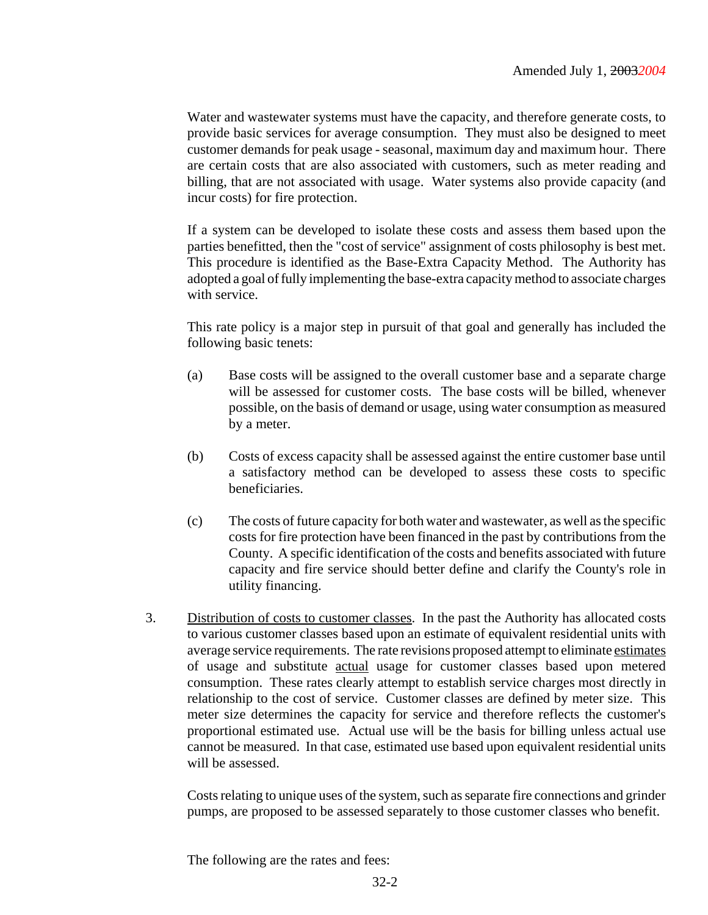Water and wastewater systems must have the capacity, and therefore generate costs, to provide basic services for average consumption. They must also be designed to meet customer demands for peak usage - seasonal, maximum day and maximum hour. There are certain costs that are also associated with customers, such as meter reading and billing, that are not associated with usage. Water systems also provide capacity (and incur costs) for fire protection.

If a system can be developed to isolate these costs and assess them based upon the parties benefitted, then the "cost of service" assignment of costs philosophy is best met. This procedure is identified as the Base-Extra Capacity Method. The Authority has adopted a goal of fully implementing the base-extra capacity method to associate charges with service.

This rate policy is a major step in pursuit of that goal and generally has included the following basic tenets:

- (a) Base costs will be assigned to the overall customer base and a separate charge will be assessed for customer costs. The base costs will be billed, whenever possible, on the basis of demand or usage, using water consumption as measured by a meter.
- (b) Costs of excess capacity shall be assessed against the entire customer base until a satisfactory method can be developed to assess these costs to specific beneficiaries.
- (c) The costs of future capacity for both water and wastewater, as well as the specific costs for fire protection have been financed in the past by contributions from the County. A specific identification of the costs and benefits associated with future capacity and fire service should better define and clarify the County's role in utility financing.
- 3. Distribution of costs to customer classes. In the past the Authority has allocated costs to various customer classes based upon an estimate of equivalent residential units with average service requirements. The rate revisions proposed attempt to eliminate estimates of usage and substitute actual usage for customer classes based upon metered consumption. These rates clearly attempt to establish service charges most directly in relationship to the cost of service. Customer classes are defined by meter size. This meter size determines the capacity for service and therefore reflects the customer's proportional estimated use. Actual use will be the basis for billing unless actual use cannot be measured. In that case, estimated use based upon equivalent residential units will be assessed.

Costs relating to unique uses of the system, such as separate fire connections and grinder pumps, are proposed to be assessed separately to those customer classes who benefit.

The following are the rates and fees: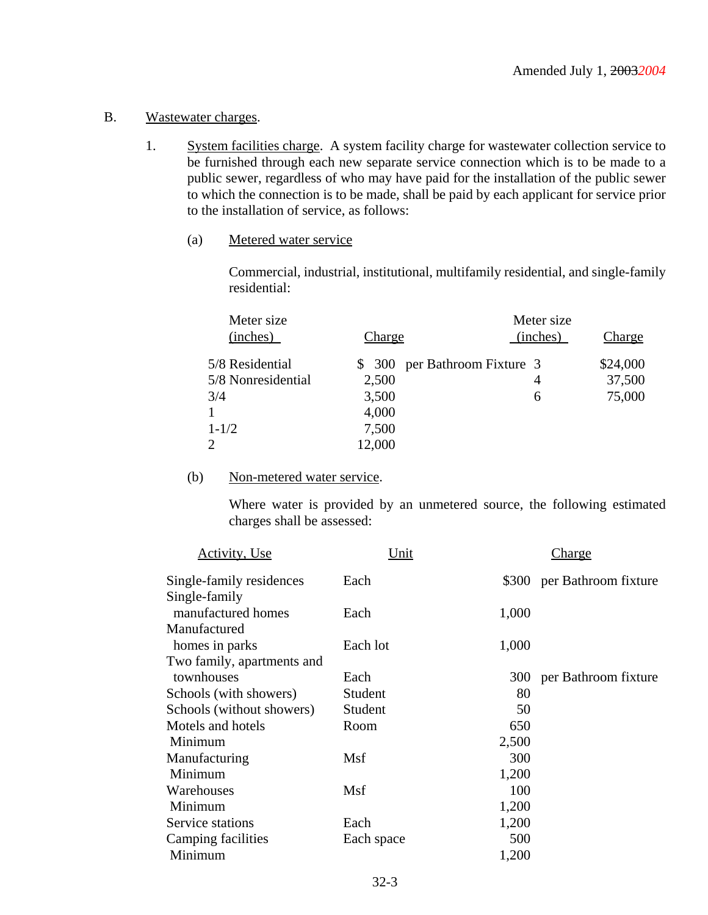#### B. Wastewater charges.

- 1. System facilities charge. A system facility charge for wastewater collection service to be furnished through each new separate service connection which is to be made to a public sewer, regardless of who may have paid for the installation of the public sewer to which the connection is to be made, shall be paid by each applicant for service prior to the installation of service, as follows:
	- (a) Metered water service

Commercial, industrial, institutional, multifamily residential, and single-family residential:

| Meter size         |               | Meter size                    |               |
|--------------------|---------------|-------------------------------|---------------|
| (inches)           | <u>Charge</u> | (inches)                      | <u>Charge</u> |
| 5/8 Residential    |               | \$ 300 per Bathroom Fixture 3 | \$24,000      |
| 5/8 Nonresidential | 2,500         | 4                             | 37,500        |
| 3/4                | 3,500         | 6                             | 75,000        |
|                    | 4,000         |                               |               |
| $1 - 1/2$          | 7,500         |                               |               |
| $\overline{2}$     | 12,000        |                               |               |

#### (b) Non-metered water service.

Where water is provided by an unmetered source, the following estimated charges shall be assessed:

| Activity, Use              | Unit       |       | Charge                     |
|----------------------------|------------|-------|----------------------------|
| Single-family residences   | Each       |       | \$300 per Bathroom fixture |
| Single-family              |            |       |                            |
| manufactured homes         | Each       | 1,000 |                            |
| Manufactured               |            |       |                            |
| homes in parks             | Each lot   | 1,000 |                            |
| Two family, apartments and |            |       |                            |
| townhouses                 | Each       |       | 300 per Bathroom fixture   |
| Schools (with showers)     | Student    | 80    |                            |
| Schools (without showers)  | Student    | 50    |                            |
| Motels and hotels          | Room       | 650   |                            |
| Minimum                    |            | 2,500 |                            |
| Manufacturing              | Msf        | 300   |                            |
| Minimum                    |            | 1,200 |                            |
| Warehouses                 | Msf        | 100   |                            |
| Minimum                    |            | 1,200 |                            |
| Service stations           | Each       | 1,200 |                            |
| Camping facilities         | Each space | 500   |                            |
| Minimum                    |            | 1,200 |                            |
|                            |            |       |                            |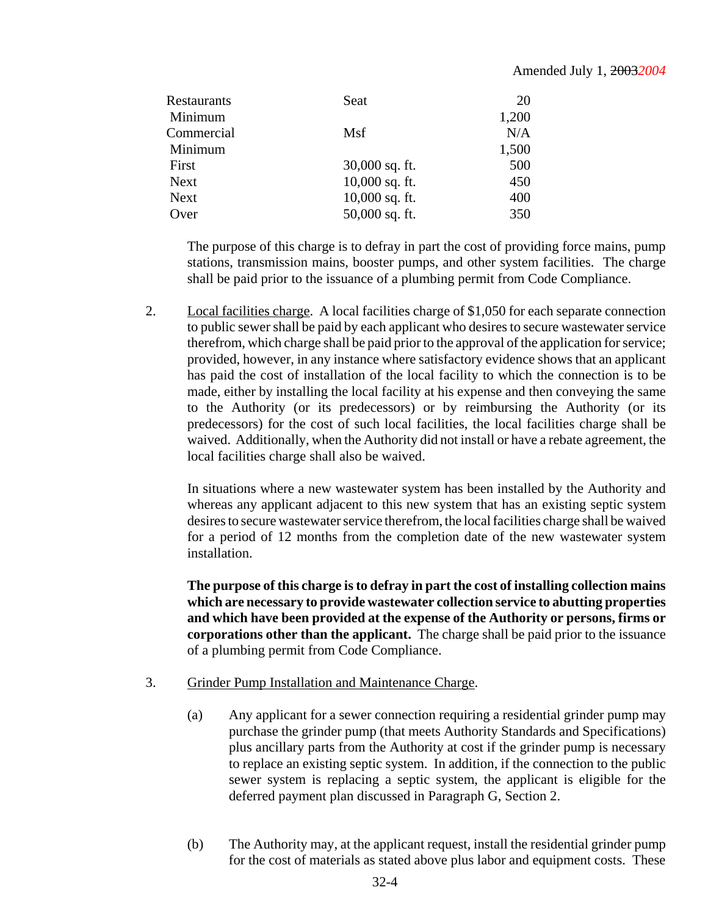| Restaurants | Seat             | 20    |
|-------------|------------------|-------|
| Minimum     |                  | 1,200 |
| Commercial  | Msf              | N/A   |
| Minimum     |                  | 1,500 |
| First       | $30,000$ sq. ft. | 500   |
| <b>Next</b> | $10,000$ sq. ft. | 450   |
| <b>Next</b> | $10,000$ sq. ft. | 400   |
| Over        | 50,000 sq. ft.   | 350   |

The purpose of this charge is to defray in part the cost of providing force mains, pump stations, transmission mains, booster pumps, and other system facilities. The charge shall be paid prior to the issuance of a plumbing permit from Code Compliance.

2. Local facilities charge. A local facilities charge of \$1,050 for each separate connection to public sewer shall be paid by each applicant who desires to secure wastewater service therefrom, which charge shall be paid prior to the approval of the application for service; provided, however, in any instance where satisfactory evidence shows that an applicant has paid the cost of installation of the local facility to which the connection is to be made, either by installing the local facility at his expense and then conveying the same to the Authority (or its predecessors) or by reimbursing the Authority (or its predecessors) for the cost of such local facilities, the local facilities charge shall be waived. Additionally, when the Authority did not install or have a rebate agreement, the local facilities charge shall also be waived.

In situations where a new wastewater system has been installed by the Authority and whereas any applicant adjacent to this new system that has an existing septic system desires to secure wastewater service therefrom, the local facilities charge shall be waived for a period of 12 months from the completion date of the new wastewater system installation.

**The purpose of this charge is to defray in part the cost of installing collection mains which are necessary to provide wastewater collection service to abutting properties and which have been provided at the expense of the Authority or persons, firms or corporations other than the applicant.** The charge shall be paid prior to the issuance of a plumbing permit from Code Compliance.

- 3. Grinder Pump Installation and Maintenance Charge.
	- (a) Any applicant for a sewer connection requiring a residential grinder pump may purchase the grinder pump (that meets Authority Standards and Specifications) plus ancillary parts from the Authority at cost if the grinder pump is necessary to replace an existing septic system. In addition, if the connection to the public sewer system is replacing a septic system, the applicant is eligible for the deferred payment plan discussed in Paragraph G, Section 2.
	- (b) The Authority may, at the applicant request, install the residential grinder pump for the cost of materials as stated above plus labor and equipment costs. These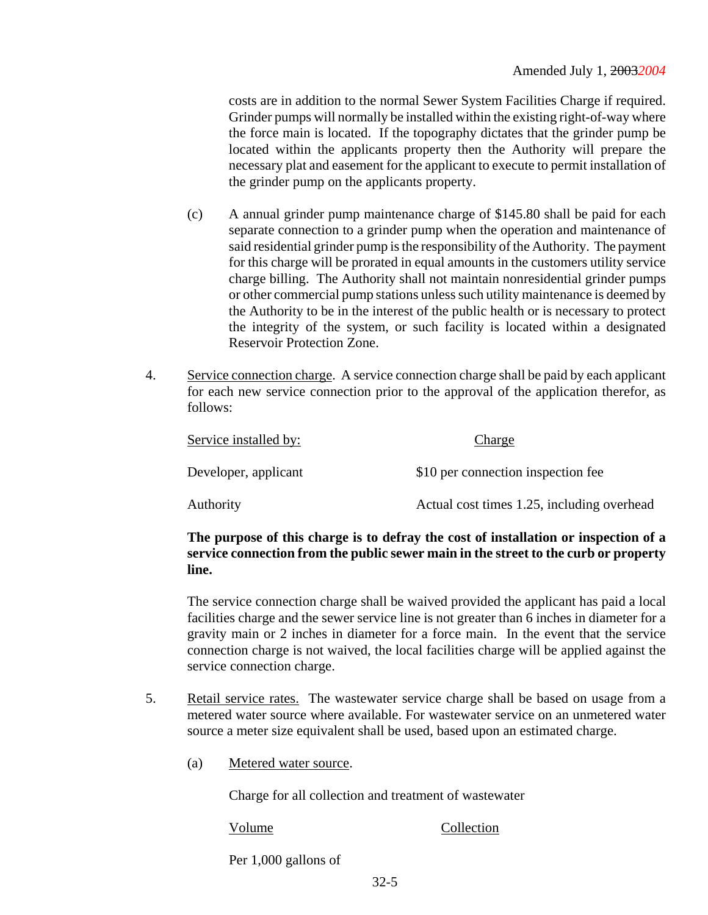costs are in addition to the normal Sewer System Facilities Charge if required. Grinder pumps will normally be installed within the existing right-of-way where the force main is located. If the topography dictates that the grinder pump be located within the applicants property then the Authority will prepare the necessary plat and easement for the applicant to execute to permit installation of the grinder pump on the applicants property.

- (c) A annual grinder pump maintenance charge of \$145.80 shall be paid for each separate connection to a grinder pump when the operation and maintenance of said residential grinder pump is the responsibility of the Authority. The payment for this charge will be prorated in equal amounts in the customers utility service charge billing. The Authority shall not maintain nonresidential grinder pumps or other commercial pump stations unless such utility maintenance is deemed by the Authority to be in the interest of the public health or is necessary to protect the integrity of the system, or such facility is located within a designated Reservoir Protection Zone.
- 4. Service connection charge. A service connection charge shall be paid by each applicant for each new service connection prior to the approval of the application therefor, as follows:

| Service installed by: | Charge                                     |
|-----------------------|--------------------------------------------|
| Developer, applicant  | \$10 per connection inspection fee         |
| Authority             | Actual cost times 1.25, including overhead |

# **The purpose of this charge is to defray the cost of installation or inspection of a service connection from the public sewer main in the street to the curb or property line.**

The service connection charge shall be waived provided the applicant has paid a local facilities charge and the sewer service line is not greater than 6 inches in diameter for a gravity main or 2 inches in diameter for a force main. In the event that the service connection charge is not waived, the local facilities charge will be applied against the service connection charge.

- 5. Retail service rates. The wastewater service charge shall be based on usage from a metered water source where available. For wastewater service on an unmetered water source a meter size equivalent shall be used, based upon an estimated charge.
	- (a) Metered water source.

Charge for all collection and treatment of wastewater

Volume Collection

Per 1,000 gallons of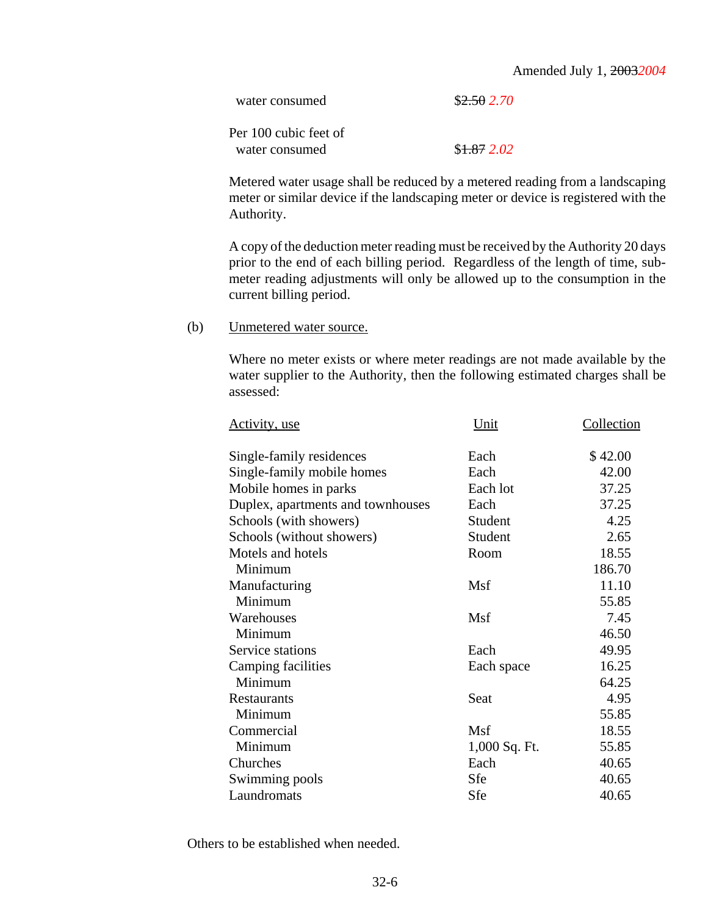#### Amended July 1, 2003*2004*

| water consumed        | \$2.502.70   |
|-----------------------|--------------|
| Per 100 cubic feet of |              |
| water consumed        | \$1.872.02\$ |

Metered water usage shall be reduced by a metered reading from a landscaping meter or similar device if the landscaping meter or device is registered with the Authority.

A copy of the deduction meter reading must be received by the Authority 20 days prior to the end of each billing period. Regardless of the length of time, submeter reading adjustments will only be allowed up to the consumption in the current billing period.

#### (b) Unmetered water source.

Where no meter exists or where meter readings are not made available by the water supplier to the Authority, then the following estimated charges shall be assessed:

| Unit          | Collection |
|---------------|------------|
| Each          | \$42.00    |
| Each          | 42.00      |
| Each lot      | 37.25      |
| Each          | 37.25      |
| Student       | 4.25       |
| Student       | 2.65       |
| Room          | 18.55      |
|               | 186.70     |
| Msf           | 11.10      |
|               | 55.85      |
| Msf           | 7.45       |
|               | 46.50      |
| Each          | 49.95      |
| Each space    | 16.25      |
|               | 64.25      |
| Seat          | 4.95       |
|               | 55.85      |
| Msf           | 18.55      |
| 1,000 Sq. Ft. | 55.85      |
| Each          | 40.65      |
| Sfe           | 40.65      |
| Sfe           | 40.65      |
|               |            |

Others to be established when needed.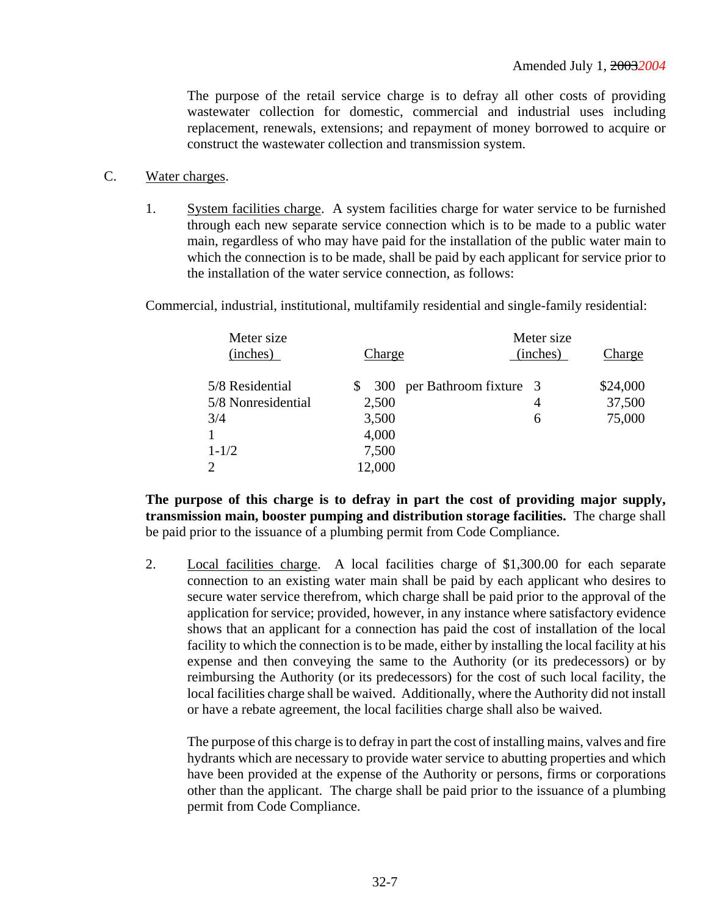The purpose of the retail service charge is to defray all other costs of providing wastewater collection for domestic, commercial and industrial uses including replacement, renewals, extensions; and repayment of money borrowed to acquire or construct the wastewater collection and transmission system.

- C. Water charges.
	- 1. System facilities charge. A system facilities charge for water service to be furnished through each new separate service connection which is to be made to a public water main, regardless of who may have paid for the installation of the public water main to which the connection is to be made, shall be paid by each applicant for service prior to the installation of the water service connection, as follows:

Commercial, industrial, institutional, multifamily residential and single-family residential:

| Meter size<br>(inches) | Charge    | Meter size<br>(inches) | Charge   |
|------------------------|-----------|------------------------|----------|
| 5/8 Residential        | S.<br>300 | per Bathroom fixture 3 | \$24,000 |
| 5/8 Nonresidential     | 2,500     | 4                      | 37,500   |
| 3/4                    | 3,500     | 6                      | 75,000   |
|                        | 4,000     |                        |          |
| $1 - 1/2$              | 7,500     |                        |          |
| 2                      | 12,000    |                        |          |

**The purpose of this charge is to defray in part the cost of providing major supply, transmission main, booster pumping and distribution storage facilities.** The charge shall be paid prior to the issuance of a plumbing permit from Code Compliance.

2. Local facilities charge. A local facilities charge of \$1,300.00 for each separate connection to an existing water main shall be paid by each applicant who desires to secure water service therefrom, which charge shall be paid prior to the approval of the application for service; provided, however, in any instance where satisfactory evidence shows that an applicant for a connection has paid the cost of installation of the local facility to which the connection is to be made, either by installing the local facility at his expense and then conveying the same to the Authority (or its predecessors) or by reimbursing the Authority (or its predecessors) for the cost of such local facility, the local facilities charge shall be waived. Additionally, where the Authority did not install or have a rebate agreement, the local facilities charge shall also be waived.

The purpose of this charge is to defray in part the cost of installing mains, valves and fire hydrants which are necessary to provide water service to abutting properties and which have been provided at the expense of the Authority or persons, firms or corporations other than the applicant. The charge shall be paid prior to the issuance of a plumbing permit from Code Compliance.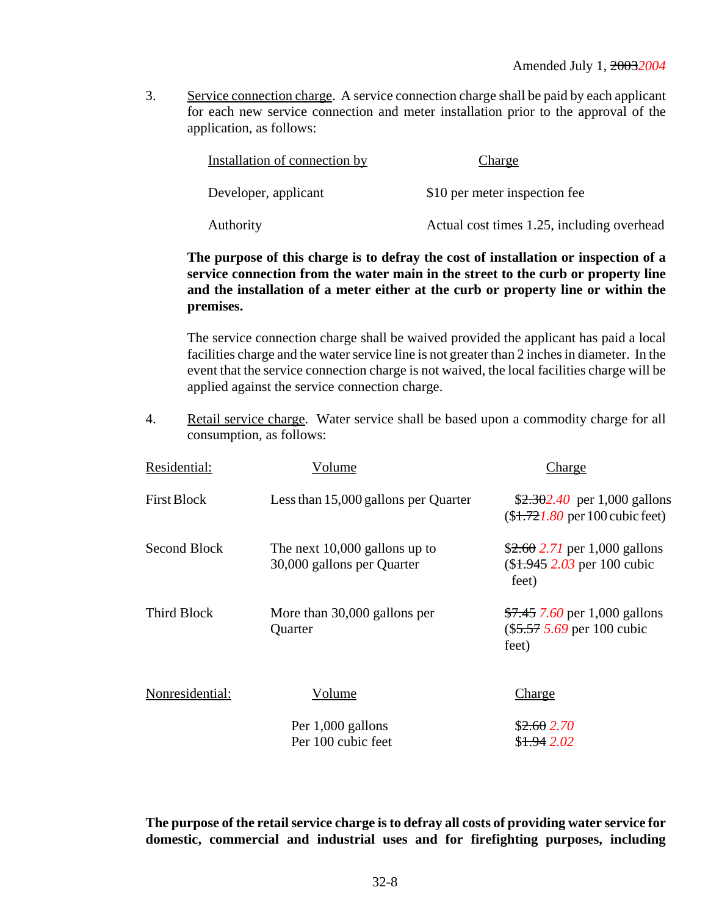3. Service connection charge. A service connection charge shall be paid by each applicant for each new service connection and meter installation prior to the approval of the application, as follows:

| Installation of connection by | Charge                                     |
|-------------------------------|--------------------------------------------|
| Developer, applicant          | \$10 per meter inspection fee              |
| Authority                     | Actual cost times 1.25, including overhead |

# **The purpose of this charge is to defray the cost of installation or inspection of a service connection from the water main in the street to the curb or property line and the installation of a meter either at the curb or property line or within the premises.**

The service connection charge shall be waived provided the applicant has paid a local facilities charge and the water service line is not greater than 2 inches in diameter. In the event that the service connection charge is not waived, the local facilities charge will be applied against the service connection charge.

4. Retail service charge. Water service shall be based upon a commodity charge for all consumption, as follows:

| Residential:       | Volume                                                        | Charge                                                                  |
|--------------------|---------------------------------------------------------------|-------------------------------------------------------------------------|
| <b>First Block</b> | Less than 15,000 gallons per Quarter                          | $$2.302.40$ per 1,000 gallons<br>$($1.721.80$ per 100 cubic feet)       |
| Second Block       | The next $10,000$ gallons up to<br>30,000 gallons per Quarter | $$2.60$ 2.71 per 1,000 gallons<br>$($1.945 2.03$ per 100 cubic<br>feet) |
| <b>Third Block</b> | More than 30,000 gallons per<br>Quarter                       | \$7.45 7.60 per 1,000 gallons<br>$(\$5.57 5.69$ per 100 cubic<br>feet)  |
| Nonresidential:    | Volume                                                        | <b>Charge</b>                                                           |
|                    | Per 1,000 gallons<br>Per 100 cubic feet                       | \$2.602.70<br>\$1.942.02                                                |
|                    |                                                               |                                                                         |

**The purpose of the retail service charge is to defray all costs of providing water service for domestic, commercial and industrial uses and for firefighting purposes, including**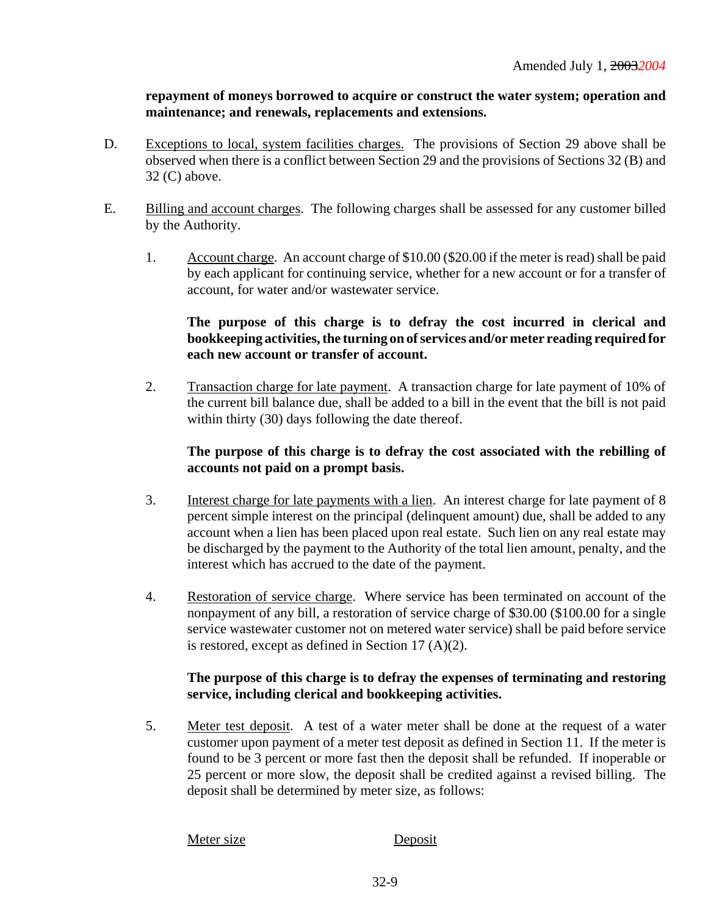**repayment of moneys borrowed to acquire or construct the water system; operation and maintenance; and renewals, replacements and extensions.**

- D. Exceptions to local, system facilities charges. The provisions of Section 29 above shall be observed when there is a conflict between Section 29 and the provisions of Sections 32 (B) and 32 (C) above.
- E. Billing and account charges. The following charges shall be assessed for any customer billed by the Authority.
	- 1. Account charge. An account charge of \$10.00 (\$20.00 if the meter is read) shall be paid by each applicant for continuing service, whether for a new account or for a transfer of account, for water and/or wastewater service.

# **The purpose of this charge is to defray the cost incurred in clerical and bookkeeping activities, the turning on of services and/or meter reading required for each new account or transfer of account.**

2. Transaction charge for late payment. A transaction charge for late payment of 10% of the current bill balance due, shall be added to a bill in the event that the bill is not paid within thirty (30) days following the date thereof.

# **The purpose of this charge is to defray the cost associated with the rebilling of accounts not paid on a prompt basis.**

- 3. Interest charge for late payments with a lien. An interest charge for late payment of 8 percent simple interest on the principal (delinquent amount) due, shall be added to any account when a lien has been placed upon real estate. Such lien on any real estate may be discharged by the payment to the Authority of the total lien amount, penalty, and the interest which has accrued to the date of the payment.
- 4. Restoration of service charge. Where service has been terminated on account of the nonpayment of any bill, a restoration of service charge of \$30.00 (\$100.00 for a single service wastewater customer not on metered water service) shall be paid before service is restored, except as defined in Section 17 (A)(2).

# **The purpose of this charge is to defray the expenses of terminating and restoring service, including clerical and bookkeeping activities.**

5. Meter test deposit. A test of a water meter shall be done at the request of a water customer upon payment of a meter test deposit as defined in Section 11. If the meter is found to be 3 percent or more fast then the deposit shall be refunded. If inoperable or 25 percent or more slow, the deposit shall be credited against a revised billing. The deposit shall be determined by meter size, as follows:

#### Meter size Deposit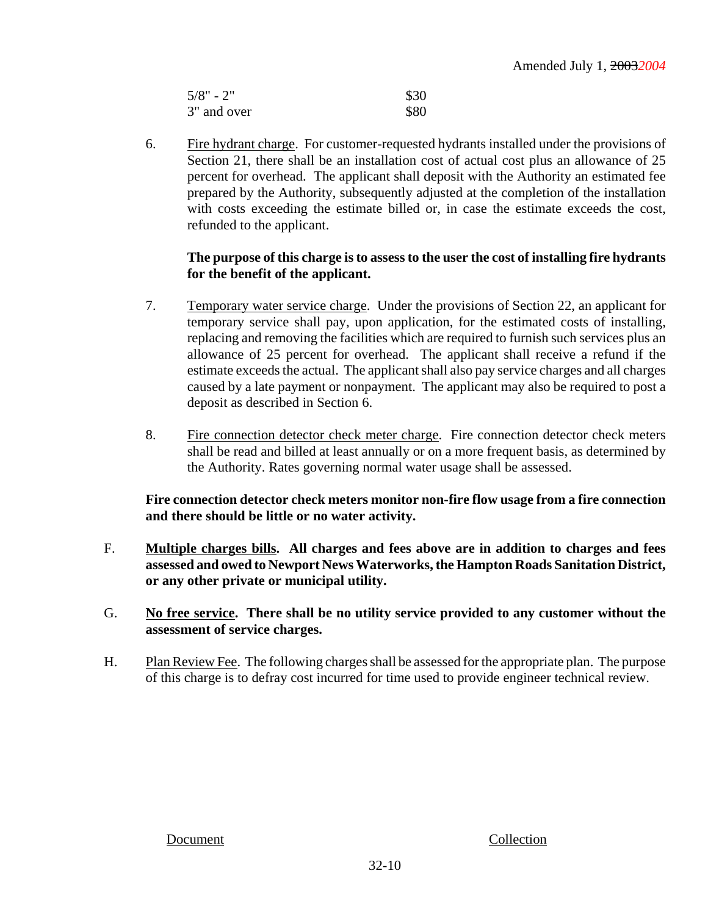| $5/8" - 2"$ | \$30 |
|-------------|------|
| 3" and over | \$80 |

6. Fire hydrant charge. For customer-requested hydrants installed under the provisions of Section 21, there shall be an installation cost of actual cost plus an allowance of 25 percent for overhead. The applicant shall deposit with the Authority an estimated fee prepared by the Authority, subsequently adjusted at the completion of the installation with costs exceeding the estimate billed or, in case the estimate exceeds the cost, refunded to the applicant.

# **The purpose of this charge is to assess to the user the cost of installing fire hydrants for the benefit of the applicant.**

- 7. Temporary water service charge. Under the provisions of Section 22, an applicant for temporary service shall pay, upon application, for the estimated costs of installing, replacing and removing the facilities which are required to furnish such services plus an allowance of 25 percent for overhead. The applicant shall receive a refund if the estimate exceeds the actual. The applicant shall also pay service charges and all charges caused by a late payment or nonpayment. The applicant may also be required to post a deposit as described in Section 6.
- 8. Fire connection detector check meter charge. Fire connection detector check meters shall be read and billed at least annually or on a more frequent basis, as determined by the Authority. Rates governing normal water usage shall be assessed.

# **Fire connection detector check meters monitor non-fire flow usage from a fire connection and there should be little or no water activity.**

- F. **Multiple charges bills. All charges and fees above are in addition to charges and fees assessed and owed to Newport News Waterworks, the Hampton Roads Sanitation District, or any other private or municipal utility.**
- G. **No free service. There shall be no utility service provided to any customer without the assessment of service charges.**
- H. Plan Review Fee. The following charges shall be assessed for the appropriate plan. The purpose of this charge is to defray cost incurred for time used to provide engineer technical review.

Document Collection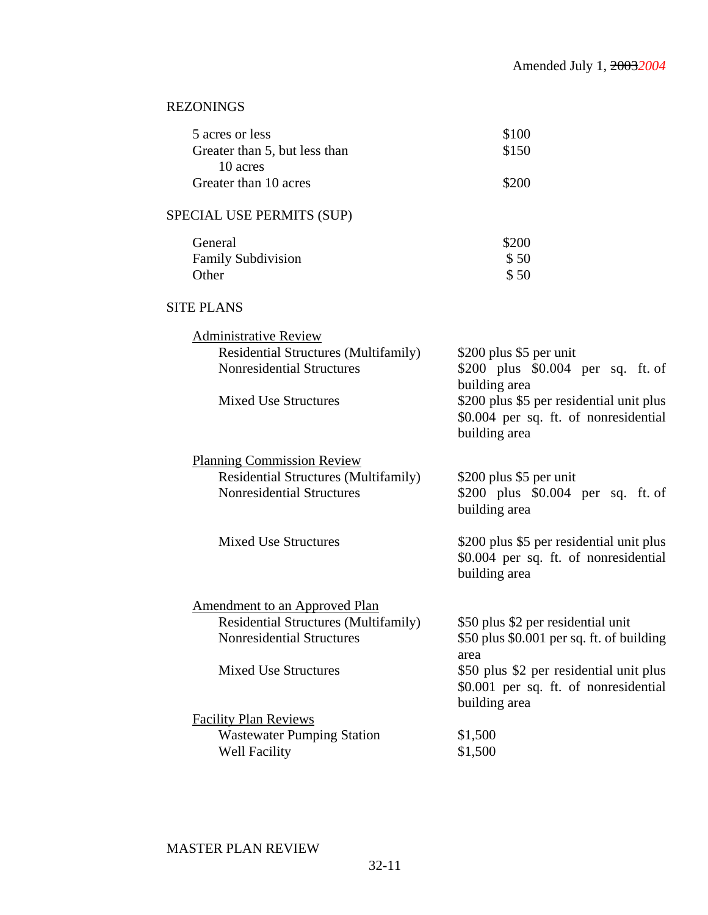# REZONINGS

| 5 acres or less               | \$100 |
|-------------------------------|-------|
| Greater than 5, but less than | \$150 |
| 10 acres                      |       |
| Greater than 10 acres         | \$200 |

# SPECIAL USE PERMITS (SUP)

| General                   | \$200 |
|---------------------------|-------|
| <b>Family Subdivision</b> | \$50  |
| Other                     | \$50  |

# SITE PLANS

| <b>Administrative Review</b>                |                                                                                   |
|---------------------------------------------|-----------------------------------------------------------------------------------|
| <b>Residential Structures (Multifamily)</b> | \$200 plus \$5 per unit                                                           |
| <b>Nonresidential Structures</b>            | \$200 plus \$0.004 per sq. ft. of                                                 |
|                                             | building area                                                                     |
| <b>Mixed Use Structures</b>                 | \$200 plus \$5 per residential unit plus                                          |
|                                             | \$0.004 per sq. ft. of nonresidential                                             |
|                                             | building area                                                                     |
| <b>Planning Commission Review</b>           |                                                                                   |
| Residential Structures (Multifamily)        | \$200 plus \$5 per unit                                                           |
| <b>Nonresidential Structures</b>            | \$200 plus $$0.004$ per sq. ft. of                                                |
|                                             | building area                                                                     |
| <b>Mixed Use Structures</b>                 |                                                                                   |
|                                             | \$200 plus \$5 per residential unit plus<br>\$0.004 per sq. ft. of nonresidential |
|                                             | building area                                                                     |
|                                             |                                                                                   |
| <b>Amendment to an Approved Plan</b>        |                                                                                   |
| Residential Structures (Multifamily)        | \$50 plus \$2 per residential unit                                                |
| <b>Nonresidential Structures</b>            | \$50 plus \$0.001 per sq. ft. of building                                         |
|                                             | area                                                                              |
| <b>Mixed Use Structures</b>                 | \$50 plus \$2 per residential unit plus                                           |
|                                             | \$0.001 per sq. ft. of nonresidential                                             |
|                                             | building area                                                                     |
| <b>Facility Plan Reviews</b>                |                                                                                   |
| <b>Wastewater Pumping Station</b>           | \$1,500                                                                           |
| <b>Well Facility</b>                        | \$1,500                                                                           |

# MASTER PLAN REVIEW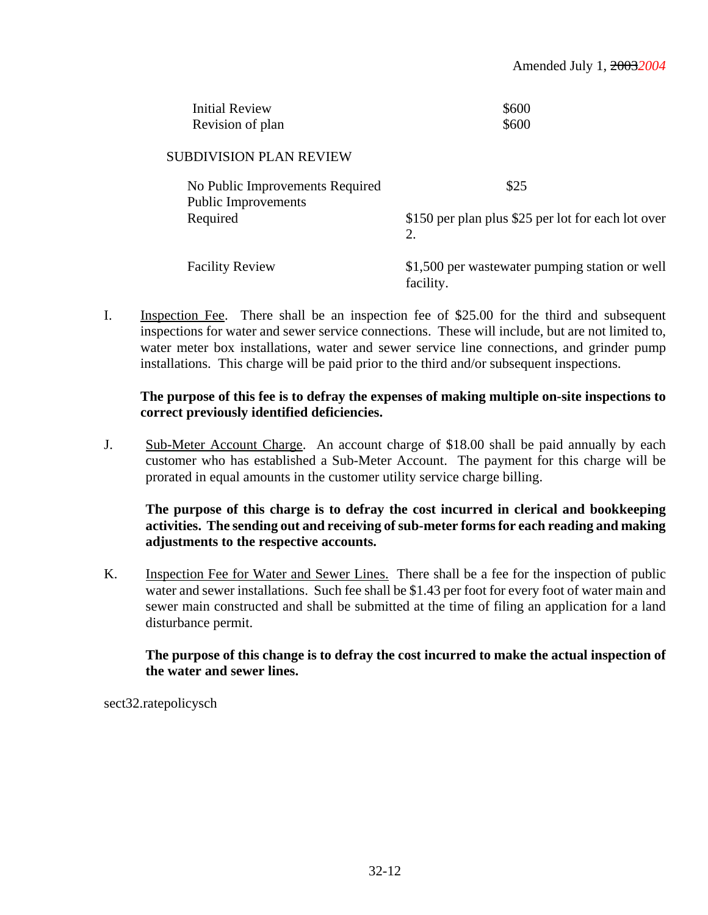| <b>Initial Review</b><br>Revision of plan                     | \$600<br>\$600                                              |
|---------------------------------------------------------------|-------------------------------------------------------------|
| <b>SUBDIVISION PLAN REVIEW</b>                                |                                                             |
| No Public Improvements Required<br><b>Public Improvements</b> | \$25                                                        |
| Required                                                      | \$150 per plan plus \$25 per lot for each lot over<br>2.    |
| <b>Facility Review</b>                                        | \$1,500 per wastewater pumping station or well<br>facility. |

I. Inspection Fee. There shall be an inspection fee of \$25.00 for the third and subsequent inspections for water and sewer service connections. These will include, but are not limited to, water meter box installations, water and sewer service line connections, and grinder pump installations. This charge will be paid prior to the third and/or subsequent inspections.

#### **The purpose of this fee is to defray the expenses of making multiple on-site inspections to correct previously identified deficiencies.**

J. Sub-Meter Account Charge. An account charge of \$18.00 shall be paid annually by each customer who has established a Sub-Meter Account. The payment for this charge will be prorated in equal amounts in the customer utility service charge billing.

# **The purpose of this charge is to defray the cost incurred in clerical and bookkeeping activities. The sending out and receiving of sub-meter forms for each reading and making adjustments to the respective accounts.**

K. Inspection Fee for Water and Sewer Lines. There shall be a fee for the inspection of public water and sewer installations. Such fee shall be \$1.43 per foot for every foot of water main and sewer main constructed and shall be submitted at the time of filing an application for a land disturbance permit.

# **The purpose of this change is to defray the cost incurred to make the actual inspection of the water and sewer lines.**

sect32.ratepolicysch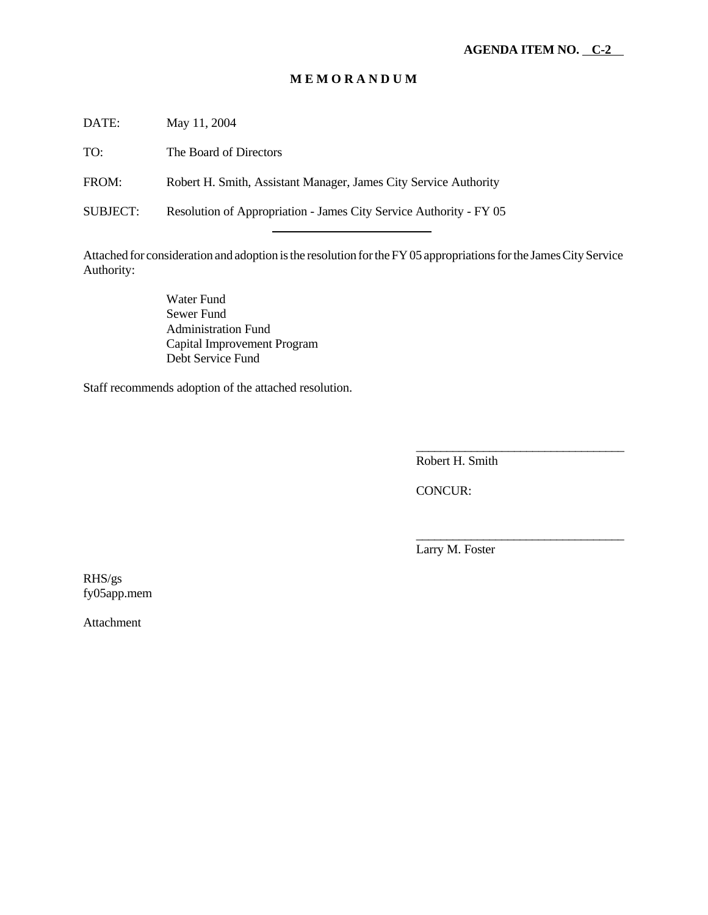#### **M E M O R A N D U M**

DATE: May 11, 2004

TO: The Board of Directors

FROM: Robert H. Smith, Assistant Manager, James City Service Authority

SUBJECT: Resolution of Appropriation - James City Service Authority - FY 05

l

Attached for consideration and adoption is the resolution for the FY 05 appropriations for the James City Service Authority:

> Water Fund Sewer Fund Administration Fund Capital Improvement Program Debt Service Fund

Staff recommends adoption of the attached resolution.

Robert H. Smith

\_\_\_\_\_\_\_\_\_\_\_\_\_\_\_\_\_\_\_\_\_\_\_\_\_\_\_\_\_\_\_\_\_\_

\_\_\_\_\_\_\_\_\_\_\_\_\_\_\_\_\_\_\_\_\_\_\_\_\_\_\_\_\_\_\_\_\_\_

CONCUR:

Larry M. Foster

RHS/gs fy05app.mem

Attachment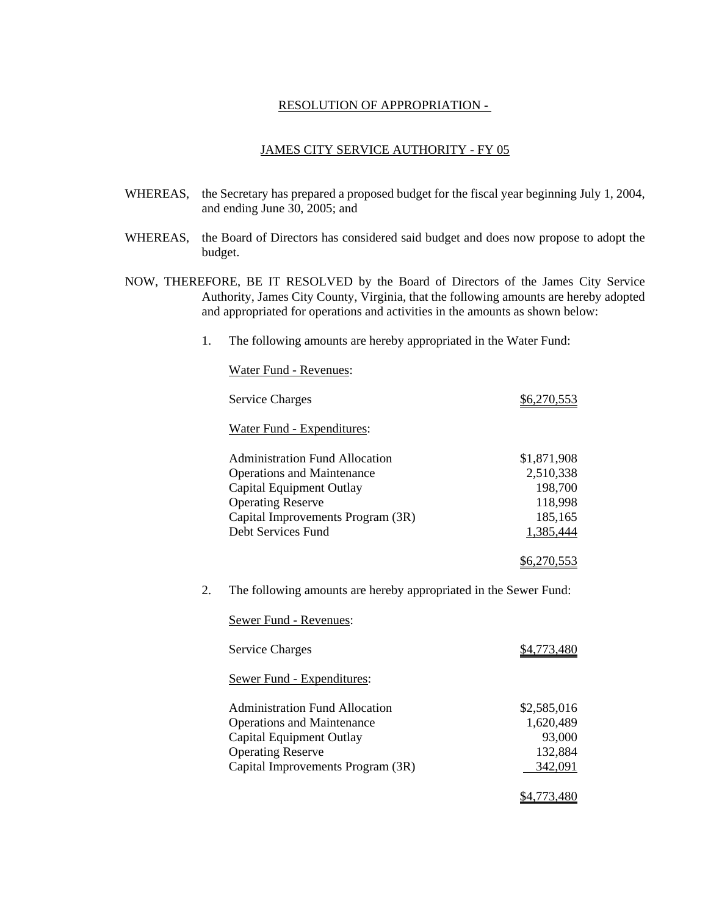#### RESOLUTION OF APPROPRIATION -

#### JAMES CITY SERVICE AUTHORITY - FY 05

- WHEREAS, the Secretary has prepared a proposed budget for the fiscal year beginning July 1, 2004, and ending June 30, 2005; and
- WHEREAS, the Board of Directors has considered said budget and does now propose to adopt the budget.
- NOW, THEREFORE, BE IT RESOLVED by the Board of Directors of the James City Service Authority, James City County, Virginia, that the following amounts are hereby adopted and appropriated for operations and activities in the amounts as shown below:
	- 1. The following amounts are hereby appropriated in the Water Fund:

Water Fund - Revenues:

|    | <b>Service Charges</b>                                           | \$6,270,553        |
|----|------------------------------------------------------------------|--------------------|
|    | Water Fund - Expenditures:                                       |                    |
|    | <b>Administration Fund Allocation</b>                            | \$1,871,908        |
|    | <b>Operations and Maintenance</b>                                | 2,510,338          |
|    | Capital Equipment Outlay                                         | 198,700            |
|    | <b>Operating Reserve</b>                                         | 118,998            |
|    | Capital Improvements Program (3R)                                | 185,165            |
|    | Debt Services Fund                                               | 1,385,444          |
|    |                                                                  | <u>\$6,270,553</u> |
| 2. | The following amounts are hereby appropriated in the Sewer Fund: |                    |
|    | Sewer Fund - Revenues:                                           |                    |
|    | <b>Service Charges</b>                                           | <u>\$4,773,480</u> |
|    | Sewer Fund - Expenditures:                                       |                    |
|    | <b>Administration Fund Allocation</b>                            | \$2,585,016        |
|    | <b>Operations and Maintenance</b>                                | 1,620,489          |
|    | Capital Equipment Outlay                                         | 93,000             |
|    | <b>Operating Reserve</b>                                         | 132,884            |
|    | Capital Improvements Program (3R)                                | 342,091            |
|    |                                                                  | \$4,773,480        |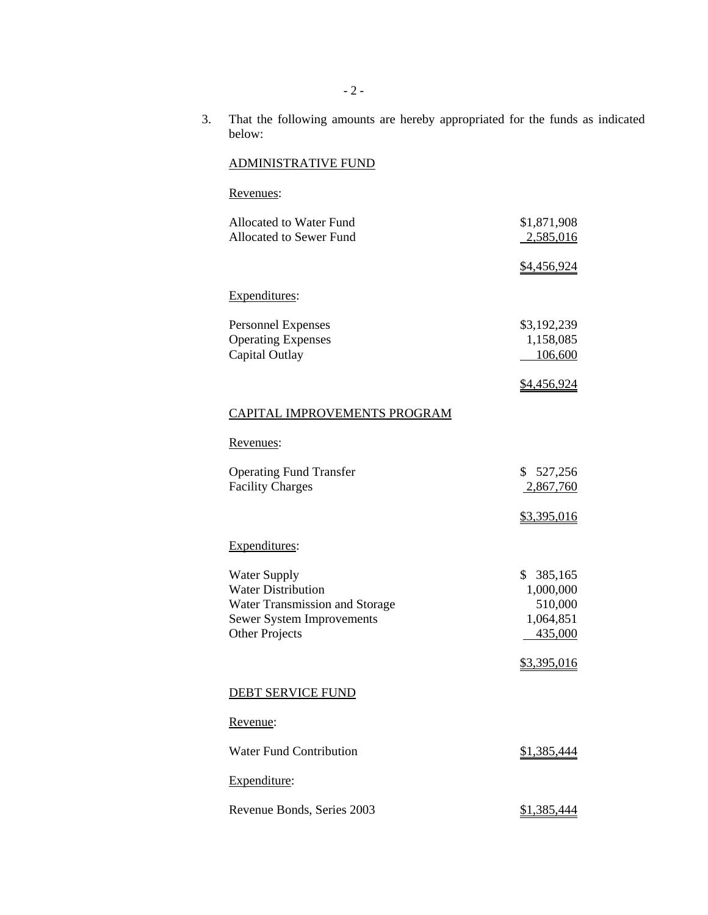3. That the following amounts are hereby appropriated for the funds as indicated below:

# ADMINISTRATIVE FUND

# Revenues:

| \$1,871,908        |
|--------------------|
| 2,585,016          |
| <u>\$4,456,924</u> |
|                    |
|                    |
|                    |
| \$3,192,239        |
| 1,158,085          |
| 106,600            |
|                    |
| <u>\$4,456,924</u> |
|                    |
|                    |
|                    |
|                    |
| \$527,256          |
| 2,867,760          |
|                    |
| \$3,395,016        |
|                    |
|                    |
| \$385,165          |
| 1,000,000          |
| 510,000            |
| 1,064,851          |
| 435,000            |
|                    |
| \$3,395,016        |
|                    |
|                    |
|                    |
|                    |
|                    |
|                    |
| <u>\$1,385,444</u> |
|                    |
|                    |
|                    |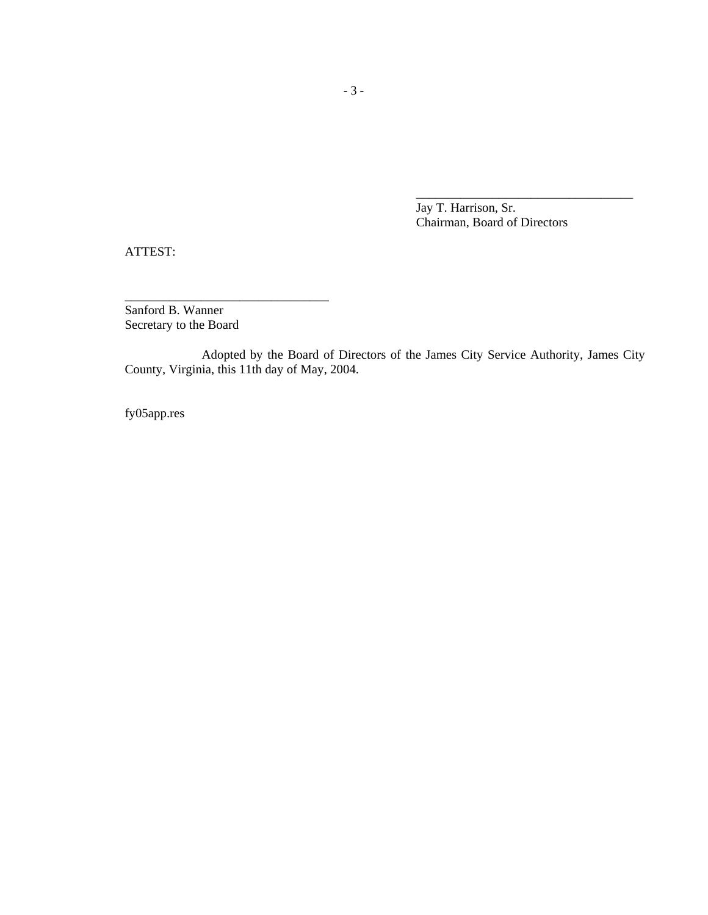Jay T. Harrison, Sr. Chairman, Board of Directors

\_\_\_\_\_\_\_\_\_\_\_\_\_\_\_\_\_\_\_\_\_\_\_\_\_\_\_\_\_\_\_\_\_\_

ATTEST:

Sanford B. Wanner Secretary to the Board

\_\_\_\_\_\_\_\_\_\_\_\_\_\_\_\_\_\_\_\_\_\_\_\_\_\_\_\_\_\_\_\_

Adopted by the Board of Directors of the James City Service Authority, James City County, Virginia, this 11th day of May, 2004.

fy05app.res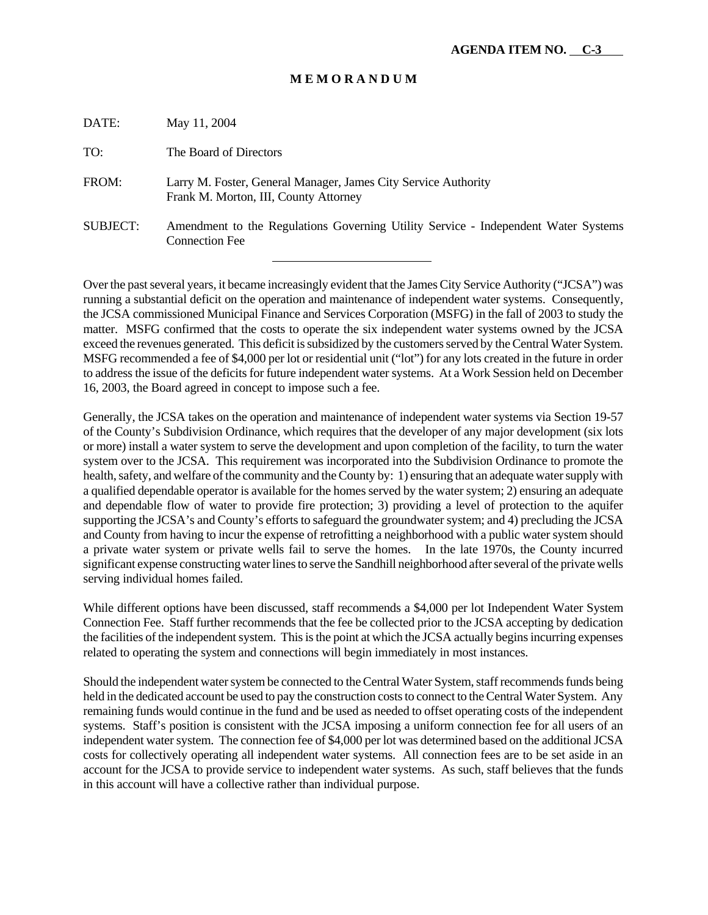#### **M E M O R A N D U M**

| DATE:           | May 11, 2004                                                                                                |
|-----------------|-------------------------------------------------------------------------------------------------------------|
| TO:             | The Board of Directors                                                                                      |
| FROM:           | Larry M. Foster, General Manager, James City Service Authority<br>Frank M. Morton, III, County Attorney     |
| <b>SUBJECT:</b> | Amendment to the Regulations Governing Utility Service - Independent Water Systems<br><b>Connection Fee</b> |
|                 |                                                                                                             |

Over the past several years, it became increasingly evident that the James City Service Authority ("JCSA") was running a substantial deficit on the operation and maintenance of independent water systems. Consequently, the JCSA commissioned Municipal Finance and Services Corporation (MSFG) in the fall of 2003 to study the matter. MSFG confirmed that the costs to operate the six independent water systems owned by the JCSA exceed the revenues generated. This deficit is subsidized by the customers served by the Central Water System. MSFG recommended a fee of \$4,000 per lot or residential unit ("lot") for any lots created in the future in order to address the issue of the deficits for future independent water systems. At a Work Session held on December 16, 2003, the Board agreed in concept to impose such a fee.

Generally, the JCSA takes on the operation and maintenance of independent water systems via Section 19-57 of the County's Subdivision Ordinance, which requires that the developer of any major development (six lots or more) install a water system to serve the development and upon completion of the facility, to turn the water system over to the JCSA. This requirement was incorporated into the Subdivision Ordinance to promote the health, safety, and welfare of the community and the County by: 1) ensuring that an adequate water supply with a qualified dependable operator is available for the homes served by the water system; 2) ensuring an adequate and dependable flow of water to provide fire protection; 3) providing a level of protection to the aquifer supporting the JCSA's and County's efforts to safeguard the groundwater system; and 4) precluding the JCSA and County from having to incur the expense of retrofitting a neighborhood with a public water system should a private water system or private wells fail to serve the homes. In the late 1970s, the County incurred significant expense constructing water lines to serve the Sandhill neighborhood after several of the private wells serving individual homes failed.

While different options have been discussed, staff recommends a \$4,000 per lot Independent Water System Connection Fee. Staff further recommends that the fee be collected prior to the JCSA accepting by dedication the facilities of the independent system. This is the point at which the JCSA actually begins incurring expenses related to operating the system and connections will begin immediately in most instances.

Should the independent water system be connected to the Central Water System, staff recommends funds being held in the dedicated account be used to pay the construction costs to connect to the Central Water System. Any remaining funds would continue in the fund and be used as needed to offset operating costs of the independent systems. Staff's position is consistent with the JCSA imposing a uniform connection fee for all users of an independent water system. The connection fee of \$4,000 per lot was determined based on the additional JCSA costs for collectively operating all independent water systems. All connection fees are to be set aside in an account for the JCSA to provide service to independent water systems. As such, staff believes that the funds in this account will have a collective rather than individual purpose.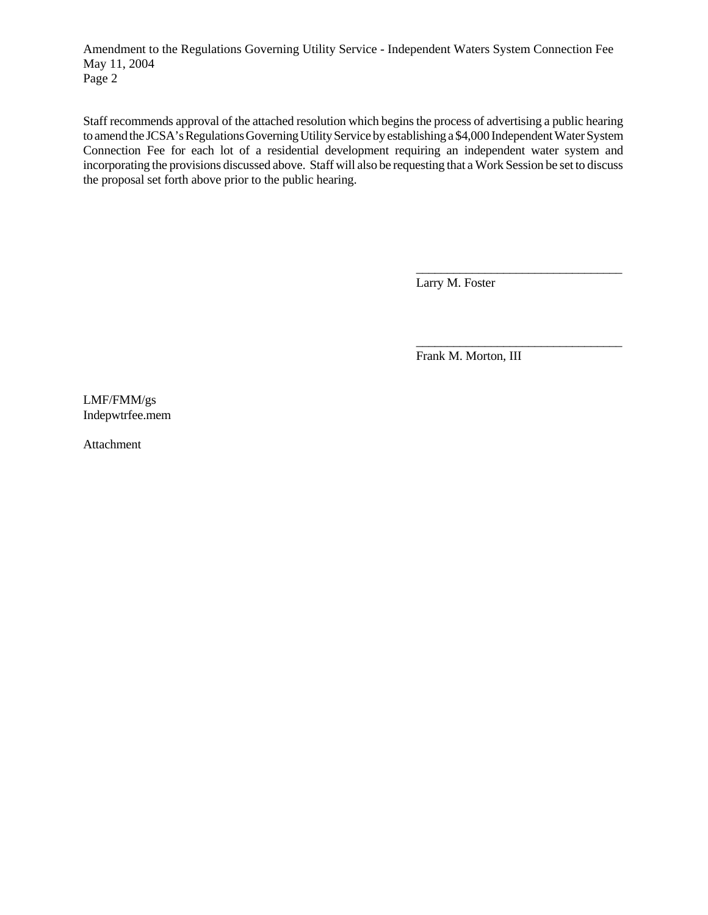Amendment to the Regulations Governing Utility Service - Independent Waters System Connection Fee May 11, 2004 Page 2

Staff recommends approval of the attached resolution which begins the process of advertising a public hearing to amend the JCSA's Regulations Governing Utility Service by establishing a \$4,000 Independent Water System Connection Fee for each lot of a residential development requiring an independent water system and incorporating the provisions discussed above. Staff will also be requesting that a Work Session be set to discuss the proposal set forth above prior to the public hearing.

Larry M. Foster

Frank M. Morton, III

\_\_\_\_\_\_\_\_\_\_\_\_\_\_\_\_\_\_\_\_\_\_\_\_\_\_\_\_\_\_\_\_\_

\_\_\_\_\_\_\_\_\_\_\_\_\_\_\_\_\_\_\_\_\_\_\_\_\_\_\_\_\_\_\_\_\_

LMF/FMM/gs Indepwtrfee.mem

Attachment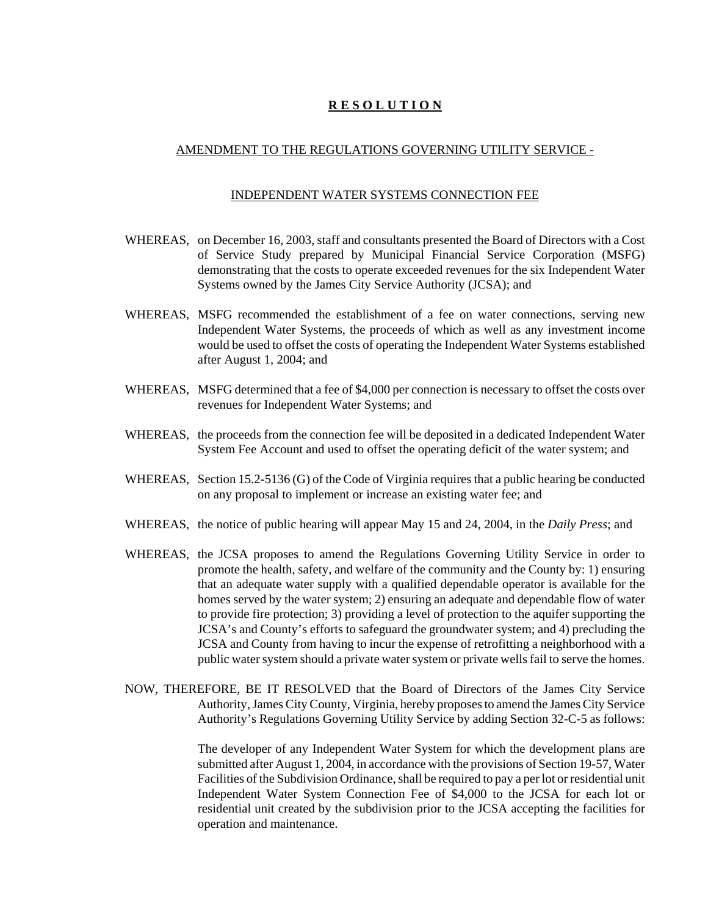# **R E S O L U T I O N**

#### AMENDMENT TO THE REGULATIONS GOVERNING UTILITY SERVICE -

#### INDEPENDENT WATER SYSTEMS CONNECTION FEE

- WHEREAS, on December 16, 2003, staff and consultants presented the Board of Directors with a Cost of Service Study prepared by Municipal Financial Service Corporation (MSFG) demonstrating that the costs to operate exceeded revenues for the six Independent Water Systems owned by the James City Service Authority (JCSA); and
- WHEREAS, MSFG recommended the establishment of a fee on water connections, serving new Independent Water Systems, the proceeds of which as well as any investment income would be used to offset the costs of operating the Independent Water Systems established after August 1, 2004; and
- WHEREAS, MSFG determined that a fee of \$4,000 per connection is necessary to offset the costs over revenues for Independent Water Systems; and
- WHEREAS, the proceeds from the connection fee will be deposited in a dedicated Independent Water System Fee Account and used to offset the operating deficit of the water system; and
- WHEREAS, Section 15.2-5136 (G) of the Code of Virginia requires that a public hearing be conducted on any proposal to implement or increase an existing water fee; and
- WHEREAS, the notice of public hearing will appear May 15 and 24, 2004, in the *Daily Press*; and
- WHEREAS, the JCSA proposes to amend the Regulations Governing Utility Service in order to promote the health, safety, and welfare of the community and the County by: 1) ensuring that an adequate water supply with a qualified dependable operator is available for the homes served by the water system; 2) ensuring an adequate and dependable flow of water to provide fire protection; 3) providing a level of protection to the aquifer supporting the JCSA's and County's efforts to safeguard the groundwater system; and 4) precluding the JCSA and County from having to incur the expense of retrofitting a neighborhood with a public water system should a private water system or private wells fail to serve the homes.
- NOW, THEREFORE, BE IT RESOLVED that the Board of Directors of the James City Service Authority, James City County, Virginia, hereby proposes to amend the James City Service Authority's Regulations Governing Utility Service by adding Section 32-C-5 as follows:

The developer of any Independent Water System for which the development plans are submitted after August 1, 2004, in accordance with the provisions of Section 19-57, Water Facilities of the Subdivision Ordinance, shall be required to pay a per lot or residential unit Independent Water System Connection Fee of \$4,000 to the JCSA for each lot or residential unit created by the subdivision prior to the JCSA accepting the facilities for operation and maintenance.